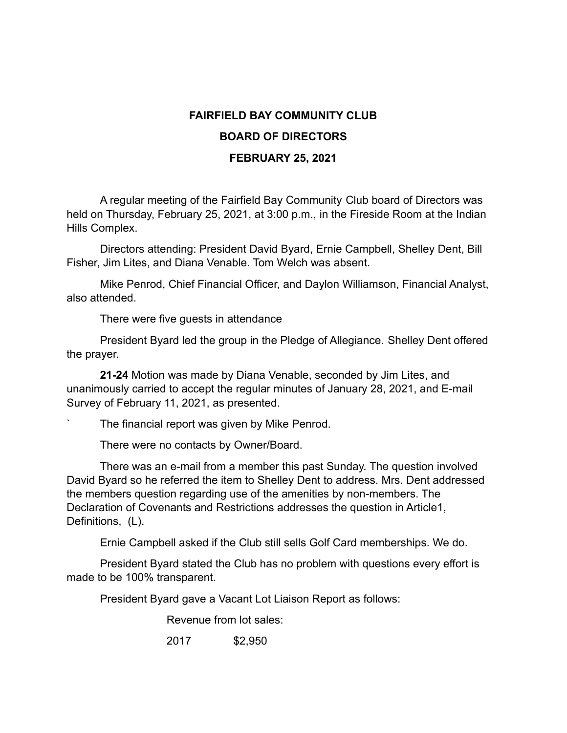## **FAIRFIELD BAY COMMUNITY CLUB BOARD OF DIRECTORS FEBRUARY 25, 2021**

A regular meeting of the Fairfield Bay Community Club board of Directors was held on Thursday, February 25, 2021, at 3:00 p.m., in the Fireside Room at the Indian Hills Complex.

Directors attending: President David Byard, Ernie Campbell, Shelley Dent, Bill Fisher, Jim Lites, and Diana Venable. Tom Welch was absent.

Mike Penrod, Chief Financial Officer, and Daylon Williamson, Financial Analyst, also attended.

There were five guests in attendance

President Byard led the group in the Pledge of Allegiance. Shelley Dent offered the prayer.

**21-24** Motion was made by Diana Venable, seconded by Jim Lites, and unanimously carried to accept the regular minutes of January 28, 2021, and E-mail Survey of February 11, 2021, as presented.

The financial report was given by Mike Penrod.

There were no contacts by Owner/Board.

There was an e-mail from a member this past Sunday. The question involved David Byard so he referred the item to Shelley Dent to address. Mrs. Dent addressed the members question regarding use of the amenities by non-members. The Declaration of Covenants and Restrictions addresses the question in Article1, Definitions, (L).

Ernie Campbell asked if the Club still sells Golf Card memberships. We do.

President Byard stated the Club has no problem with questions every effort is made to be 100% transparent.

President Byard gave a Vacant Lot Liaison Report as follows:

Revenue from lot sales:

2017 \$2,950